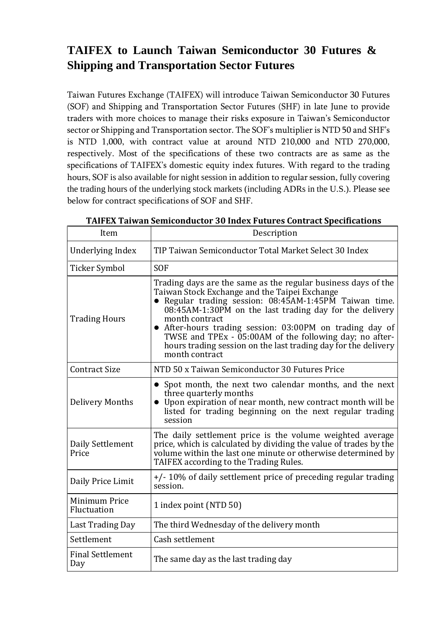## **TAIFEX to Launch Taiwan Semiconductor 30 Futures & Shipping and Transportation Sector Futures**

Taiwan Futures Exchange (TAIFEX) will introduce Taiwan Semiconductor 30 Futures (SOF) and Shipping and Transportation Sector Futures (SHF) in late June to provide traders with more choices to manage their risks exposure in Taiwan's Semiconductor sector or Shipping and Transportation sector. The SOF's multiplier is NTD 50 and SHF's is NTD 1,000, with contract value at around NTD 210,000 and NTD 270,000, respectively. Most of the specifications of these two contracts are as same as the specifications of TAIFEX's domestic equity index futures. With regard to the trading hours, SOF is also available for night session in addition to regular session, fully covering the trading hours of the underlying stock markets (including ADRs in the U.S.). Please see below for contract specifications of SOF and SHF.

| Item                           | Description                                                                                                                                                                                                                                                                                                                                                                                                                                                        |
|--------------------------------|--------------------------------------------------------------------------------------------------------------------------------------------------------------------------------------------------------------------------------------------------------------------------------------------------------------------------------------------------------------------------------------------------------------------------------------------------------------------|
| Underlying Index               | TIP Taiwan Semiconductor Total Market Select 30 Index                                                                                                                                                                                                                                                                                                                                                                                                              |
| <b>Ticker Symbol</b>           | <b>SOF</b>                                                                                                                                                                                                                                                                                                                                                                                                                                                         |
| <b>Trading Hours</b>           | Trading days are the same as the regular business days of the<br>Taiwan Stock Exchange and the Taipei Exchange<br>• Regular trading session: 08:45AM-1:45PM Taiwan time.<br>08:45AM-1:30PM on the last trading day for the delivery<br>month contract<br>• After-hours trading session: 03:00PM on trading day of<br>TWSE and TPEx $-$ 05:00AM of the following day; no after-<br>hours trading session on the last trading day for the delivery<br>month contract |
| <b>Contract Size</b>           | NTD 50 x Taiwan Semiconductor 30 Futures Price                                                                                                                                                                                                                                                                                                                                                                                                                     |
| <b>Delivery Months</b>         | • Spot month, the next two calendar months, and the next<br>three quarterly months<br>• Upon expiration of near month, new contract month will be<br>listed for trading beginning on the next regular trading<br>session                                                                                                                                                                                                                                           |
| Daily Settlement<br>Price      | The daily settlement price is the volume weighted average<br>price, which is calculated by dividing the value of trades by the<br>volume within the last one minute or otherwise determined by<br>TAIFEX according to the Trading Rules.                                                                                                                                                                                                                           |
| Daily Price Limit              | +/-10% of daily settlement price of preceding regular trading<br>session.                                                                                                                                                                                                                                                                                                                                                                                          |
| Minimum Price<br>Fluctuation   | 1 index point (NTD 50)                                                                                                                                                                                                                                                                                                                                                                                                                                             |
| Last Trading Day               | The third Wednesday of the delivery month                                                                                                                                                                                                                                                                                                                                                                                                                          |
| Settlement                     | Cash settlement                                                                                                                                                                                                                                                                                                                                                                                                                                                    |
| <b>Final Settlement</b><br>Day | The same day as the last trading day                                                                                                                                                                                                                                                                                                                                                                                                                               |

**TAIFEX Taiwan Semiconductor 30 Index Futures Contract Specifications**